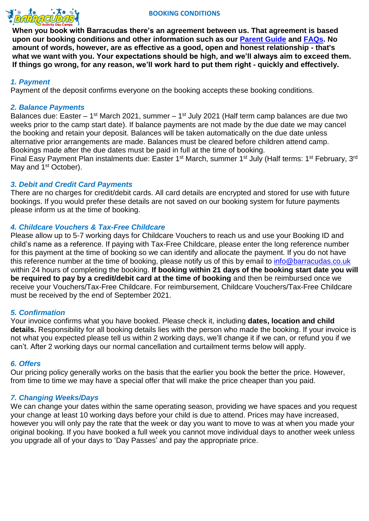



**When you book with Barracudas there's an agreement between us. That agreement is based upon our booking conditions and other information such as our [Parent Guide](../Downloads/parent-information-guide%20(1).pdf) and [FAQs.](https://www.barracudas.co.uk/faqs/) No amount of words, however, are as effective as a good, open and honest relationship - that's what we want with you. Your expectations should be high, and we'll always aim to exceed them. If things go wrong, for any reason, we'll work hard to put them right - quickly and effectively.**

# *1. Payment*

Payment of the deposit confirms everyone on the booking accepts these booking conditions.

## *2. Balance Payments*

Balances due: Easter – 1<sup>st</sup> March 2021, summer – 1<sup>st</sup> July 2021 (Half term camp balances are due two weeks prior to the camp start date). If balance payments are not made by the due date we may cancel the booking and retain your deposit. Balances will be taken automatically on the due date unless alternative prior arrangements are made. Balances must be cleared before children attend camp. Bookings made after the due dates must be paid in full at the time of booking.

Final Easy Payment Plan instalments due: Easter 1<sup>st</sup> March, summer 1<sup>st</sup> July (Half terms: 1<sup>st</sup> February, 3<sup>rd</sup> May and 1<sup>st</sup> October).

### *3. Debit and Credit Card Payments*

There are no charges for credit/debit cards. All card details are encrypted and stored for use with future bookings. If you would prefer these details are not saved on our booking system for future payments please inform us at the time of booking.

# *4. Childcare Vouchers & Tax-Free Childcare*

Please allow up to 5-7 working days for Childcare Vouchers to reach us and use your Booking ID and child's name as a reference. If paying with Tax-Free Childcare, please enter the long reference number for this payment at the time of booking so we can identify and allocate the payment. If you do not have this reference number at the time of booking, please notify us of this by email to [info@barracudas.co.uk](mailto:info@barracudas.co.uk) within 24 hours of completing the booking. **If booking within 21 days of the booking start date you will be required to pay by a credit/debit card at the time of booking** and then be reimbursed once we receive your Vouchers/Tax-Free Childcare. For reimbursement, Childcare Vouchers/Tax-Free Childcare must be received by the end of September 2021.

# *5. Confirmation*

Your invoice confirms what you have booked. Please check it, including **dates, location and child details.** Responsibility for all booking details lies with the person who made the booking. If your invoice is not what you expected please tell us within 2 working days, we'll change it if we can, or refund you if we can't. After 2 working days our normal cancellation and curtailment terms below will apply.

### *6. Offers*

Our pricing policy generally works on the basis that the earlier you book the better the price. However, from time to time we may have a special offer that will make the price cheaper than you paid.

# *7. Changing Weeks/Days*

We can change your dates within the same operating season, providing we have spaces and you request your change at least 10 working days before your child is due to attend. Prices may have increased, however you will only pay the rate that the week or day you want to move to was at when you made your original booking. If you have booked a full week you cannot move individual days to another week unless you upgrade all of your days to 'Day Passes' and pay the appropriate price.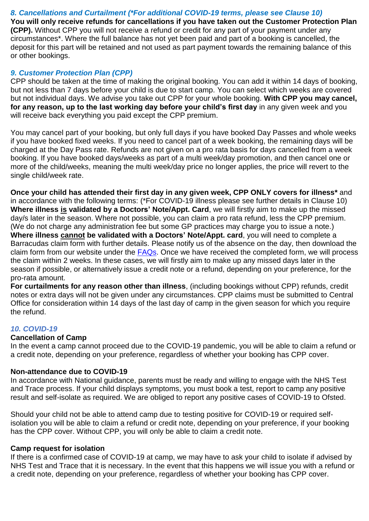*8. Cancellations and Curtailment (\*For additional COVID-19 terms, please see Clause 10)* **You will only receive refunds for cancellations if you have taken out the Customer Protection Plan (CPP).** Without CPP you will not receive a refund or credit for any part of your payment under any circumstances\*. Where the full balance has not yet been paid and part of a booking is cancelled, the deposit for this part will be retained and not used as part payment towards the remaining balance of this or other bookings.

# *9. Customer Protection Plan (CPP)*

CPP should be taken at the time of making the original booking. You can add it within 14 days of booking, but not less than 7 days before your child is due to start camp. You can select which weeks are covered but not individual days. We advise you take out CPP for your whole booking. **With CPP you may cancel, for any reason, up to the last working day before your child's first day** in any given week and you will receive back everything you paid except the CPP premium.

You may cancel part of your booking, but only full days if you have booked Day Passes and whole weeks if you have booked fixed weeks. If you need to cancel part of a week booking, the remaining days will be charged at the Day Pass rate. Refunds are not given on a pro rata basis for days cancelled from a week booking. If you have booked days/weeks as part of a multi week/day promotion, and then cancel one or more of the child/weeks, meaning the multi week/day price no longer applies, the price will revert to the single child/week rate.

**Once your child has attended their first day in any given week, CPP ONLY covers for illness\*** and in accordance with the following terms: (\*For COVID-19 illness please see further details in Clause 10) **Where illness is validated by a Doctors' Note/Appt. Card**, we will firstly aim to make up the missed day/s later in the season. Where not possible, you can claim a pro rata refund, less the CPP premium. (We do not charge any administration fee but some GP practices may charge you to issue a note.) **Where illness cannot be validated with a Doctors' Note/Appt. card**, you will need to complete a Barracudas claim form with further details. Please notify us of the absence on the day, then download the claim form from our website under the [FAQs.](https://www.barracudas.co.uk/faqs/) Once we have received the completed form, we will process the claim within 2 weeks. In these cases, we will firstly aim to make up any missed days later in the season if possible, or alternatively issue a credit note or a refund, depending on your preference, for the pro-rata amount.

**For curtailments for any reason other than illness**, (including bookings without CPP) refunds, credit notes or extra days will not be given under any circumstances. CPP claims must be submitted to Central Office for consideration within 14 days of the last day of camp in the given season for which you require the refund.

# *10. COVID-19*

# **Cancellation of Camp**

In the event a camp cannot proceed due to the COVID-19 pandemic, you will be able to claim a refund or a credit note, depending on your preference, regardless of whether your booking has CPP cover.

# **Non-attendance due to COVID-19**

In accordance with National guidance, parents must be ready and willing to engage with the NHS Test and Trace process. If your child displays symptoms, you must book a test, report to camp any positive result and self-isolate as required. We are obliged to report any positive cases of COVID-19 to Ofsted.

Should your child not be able to attend camp due to testing positive for COVID-19 or required selfisolation you will be able to claim a refund or credit note, depending on your preference, if your booking has the CPP cover. Without CPP, you will only be able to claim a credit note.

# **Camp request for isolation**

If there is a confirmed case of COVID-19 at camp, we may have to ask your child to isolate if advised by NHS Test and Trace that it is necessary. In the event that this happens we will issue you with a refund or a credit note, depending on your preference, regardless of whether your booking has CPP cover.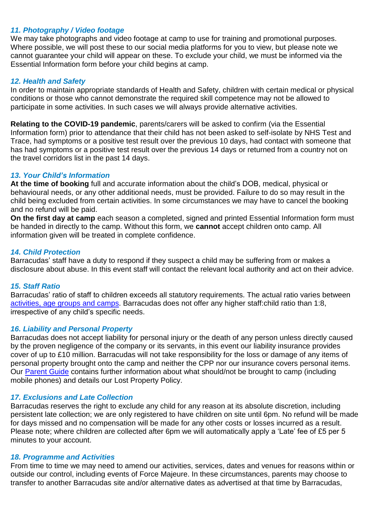# *11. Photography / Video footage*

We may take photographs and video footage at camp to use for training and promotional purposes. Where possible, we will post these to our social media platforms for you to view, but please note we cannot guarantee your child will appear on these. To exclude your child, we must be informed via the Essential Information form before your child begins at camp.

# *12. Health and Safety*

In order to maintain appropriate standards of Health and Safety, children with certain medical or physical conditions or those who cannot demonstrate the required skill competence may not be allowed to participate in some activities. In such cases we will always provide alternative activities.

**Relating to the COVID-19 pandemic**, parents/carers will be asked to confirm (via the Essential Information form) prior to attendance that their child has not been asked to self-isolate by NHS Test and Trace, had symptoms or a positive test result over the previous 10 days, had contact with someone that has had symptoms or a positive test result over the previous 14 days or returned from a country not on the travel corridors list in the past 14 days.

# *13. Your Child's Information*

**At the time of booking** full and accurate information about the child's DOB, medical, physical or behavioural needs, or any other additional needs, must be provided. Failure to do so may result in the child being excluded from certain activities. In some circumstances we may have to cancel the booking and no refund will be paid.

**On the first day at camp** each season a completed, signed and printed Essential Information form must be handed in directly to the camp. Without this form, we **cannot** accept children onto camp. All information given will be treated in complete confidence.

# *14. Child Protection*

Barracudas' staff have a duty to respond if they suspect a child may be suffering from or makes a disclosure about abuse. In this event staff will contact the relevant local authority and act on their advice.

### *15. Staff Ratio*

Barracudas' ratio of staff to children exceeds all statutory requirements. The actual ratio varies between [activities, age](https://www.barracudas.co.uk/activities/) groups and camps. Barracudas does not offer any higher staff:child ratio than 1:8, irrespective of any child's specific needs.

# *16. Liability and Personal Property*

Barracudas does not accept liability for personal injury or the death of any person unless directly caused by the proven negligence of the company or its servants, in this event our liability insurance provides cover of up to £10 million. Barracudas will not take responsibility for the loss or damage of any items of personal property brought onto the camp and neither the CPP nor our insurance covers personal items. Our [Parent Guide](../Downloads/parent-information-guide%20(1).pdf) contains further information about what should/not be brought to camp (including mobile phones) and details our Lost Property Policy.

# *17. Exclusions and Late Collection*

Barracudas reserves the right to exclude any child for any reason at its absolute discretion, including persistent late collection; we are only registered to have children on site until 6pm. No refund will be made for days missed and no compensation will be made for any other costs or losses incurred as a result. Please note; where children are collected after 6pm we will automatically apply a 'Late' fee of £5 per 5 minutes to your account.

### *18. Programme and Activities*

From time to time we may need to amend our activities, services, dates and venues for reasons within or outside our control, including events of Force Majeure. In these circumstances, parents may choose to transfer to another Barracudas site and/or alternative dates as advertised at that time by Barracudas,